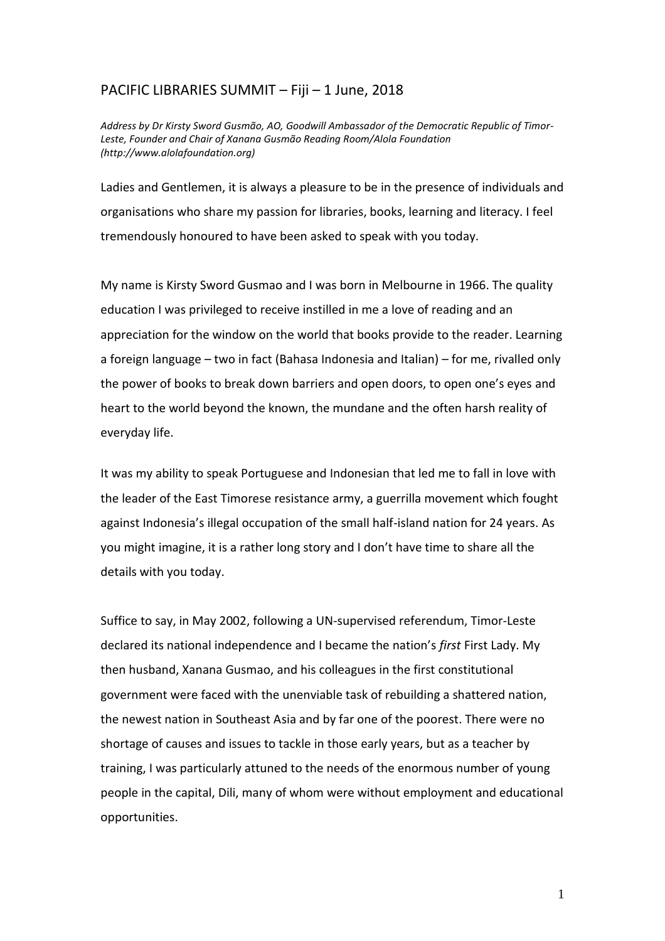## PACIFIC LIBRARIES SUMMIT – Fiji – 1 June, 2018

*Address by Dr Kirsty Sword Gusmão, AO, Goodwill Ambassador of the Democratic Republic of Timor-Leste, Founder and Chair of Xanana Gusmão Reading Room/Alola Foundation (http://www.alolafoundation.org)*

Ladies and Gentlemen, it is always a pleasure to be in the presence of individuals and organisations who share my passion for libraries, books, learning and literacy. I feel tremendously honoured to have been asked to speak with you today.

My name is Kirsty Sword Gusmao and I was born in Melbourne in 1966. The quality education I was privileged to receive instilled in me a love of reading and an appreciation for the window on the world that books provide to the reader. Learning a foreign language – two in fact (Bahasa Indonesia and Italian) – for me, rivalled only the power of books to break down barriers and open doors, to open one's eyes and heart to the world beyond the known, the mundane and the often harsh reality of everyday life.

It was my ability to speak Portuguese and Indonesian that led me to fall in love with the leader of the East Timorese resistance army, a guerrilla movement which fought against Indonesia's illegal occupation of the small half-island nation for 24 years. As you might imagine, it is a rather long story and I don't have time to share all the details with you today.

Suffice to say, in May 2002, following a UN-supervised referendum, Timor-Leste declared its national independence and I became the nation's *first* First Lady. My then husband, Xanana Gusmao, and his colleagues in the first constitutional government were faced with the unenviable task of rebuilding a shattered nation, the newest nation in Southeast Asia and by far one of the poorest. There were no shortage of causes and issues to tackle in those early years, but as a teacher by training, I was particularly attuned to the needs of the enormous number of young people in the capital, Dili, many of whom were without employment and educational opportunities.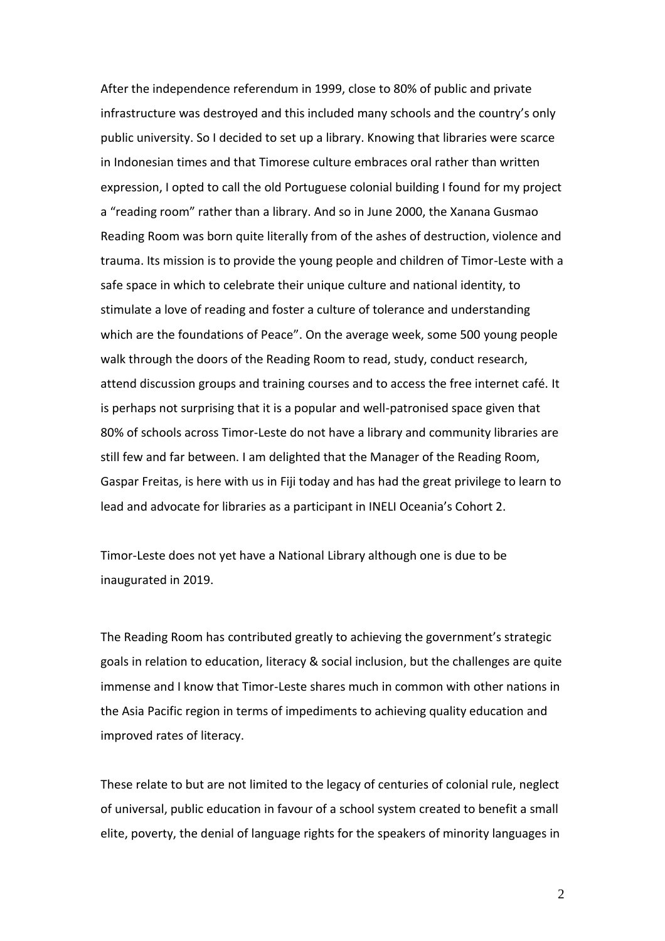After the independence referendum in 1999, close to 80% of public and private infrastructure was destroyed and this included many schools and the country's only public university. So I decided to set up a library. Knowing that libraries were scarce in Indonesian times and that Timorese culture embraces oral rather than written expression, I opted to call the old Portuguese colonial building I found for my project a "reading room" rather than a library. And so in June 2000, the Xanana Gusmao Reading Room was born quite literally from of the ashes of destruction, violence and trauma. Its mission is to provide the young people and children of Timor-Leste with a safe space in which to celebrate their unique culture and national identity, to stimulate a love of reading and foster a culture of tolerance and understanding which are the foundations of Peace". On the average week, some 500 young people walk through the doors of the Reading Room to read, study, conduct research, attend discussion groups and training courses and to access the free internet café. It is perhaps not surprising that it is a popular and well-patronised space given that 80% of schools across Timor-Leste do not have a library and community libraries are still few and far between. I am delighted that the Manager of the Reading Room, Gaspar Freitas, is here with us in Fiji today and has had the great privilege to learn to lead and advocate for libraries as a participant in INELI Oceania's Cohort 2.

Timor-Leste does not yet have a National Library although one is due to be inaugurated in 2019.

The Reading Room has contributed greatly to achieving the government's strategic goals in relation to education, literacy & social inclusion, but the challenges are quite immense and I know that Timor-Leste shares much in common with other nations in the Asia Pacific region in terms of impediments to achieving quality education and improved rates of literacy.

These relate to but are not limited to the legacy of centuries of colonial rule, neglect of universal, public education in favour of a school system created to benefit a small elite, poverty, the denial of language rights for the speakers of minority languages in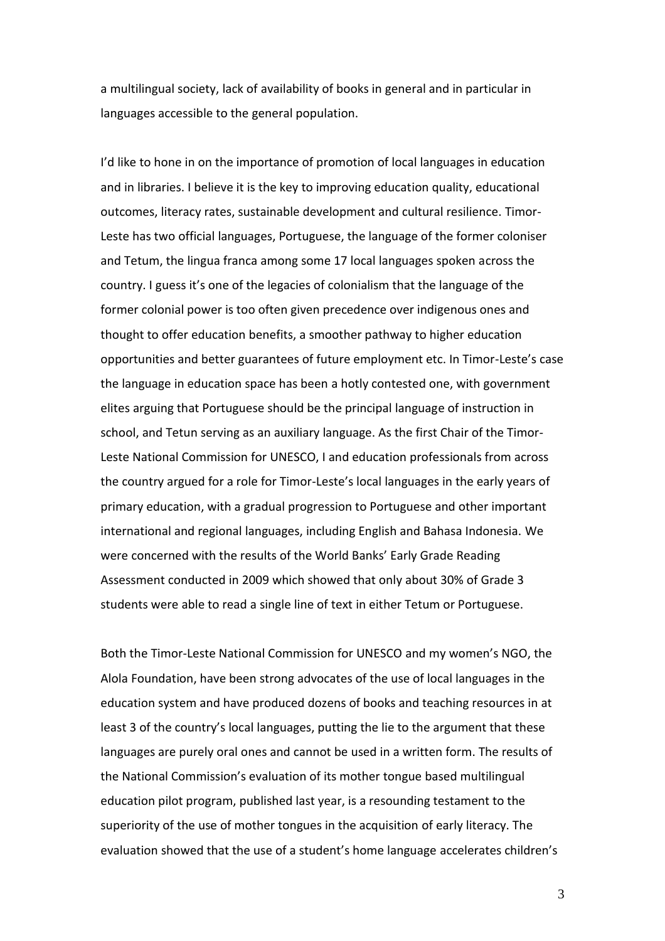a multilingual society, lack of availability of books in general and in particular in languages accessible to the general population.

I'd like to hone in on the importance of promotion of local languages in education and in libraries. I believe it is the key to improving education quality, educational outcomes, literacy rates, sustainable development and cultural resilience. Timor-Leste has two official languages, Portuguese, the language of the former coloniser and Tetum, the lingua franca among some 17 local languages spoken across the country. I guess it's one of the legacies of colonialism that the language of the former colonial power is too often given precedence over indigenous ones and thought to offer education benefits, a smoother pathway to higher education opportunities and better guarantees of future employment etc. In Timor-Leste's case the language in education space has been a hotly contested one, with government elites arguing that Portuguese should be the principal language of instruction in school, and Tetun serving as an auxiliary language. As the first Chair of the Timor-Leste National Commission for UNESCO, I and education professionals from across the country argued for a role for Timor-Leste's local languages in the early years of primary education, with a gradual progression to Portuguese and other important international and regional languages, including English and Bahasa Indonesia. We were concerned with the results of the World Banks' Early Grade Reading Assessment conducted in 2009 which showed that only about 30% of Grade 3 students were able to read a single line of text in either Tetum or Portuguese.

Both the Timor-Leste National Commission for UNESCO and my women's NGO, the Alola Foundation, have been strong advocates of the use of local languages in the education system and have produced dozens of books and teaching resources in at least 3 of the country's local languages, putting the lie to the argument that these languages are purely oral ones and cannot be used in a written form. The results of the National Commission's evaluation of its mother tongue based multilingual education pilot program, published last year, is a resounding testament to the superiority of the use of mother tongues in the acquisition of early literacy. The evaluation showed that the use of a student's home language accelerates children's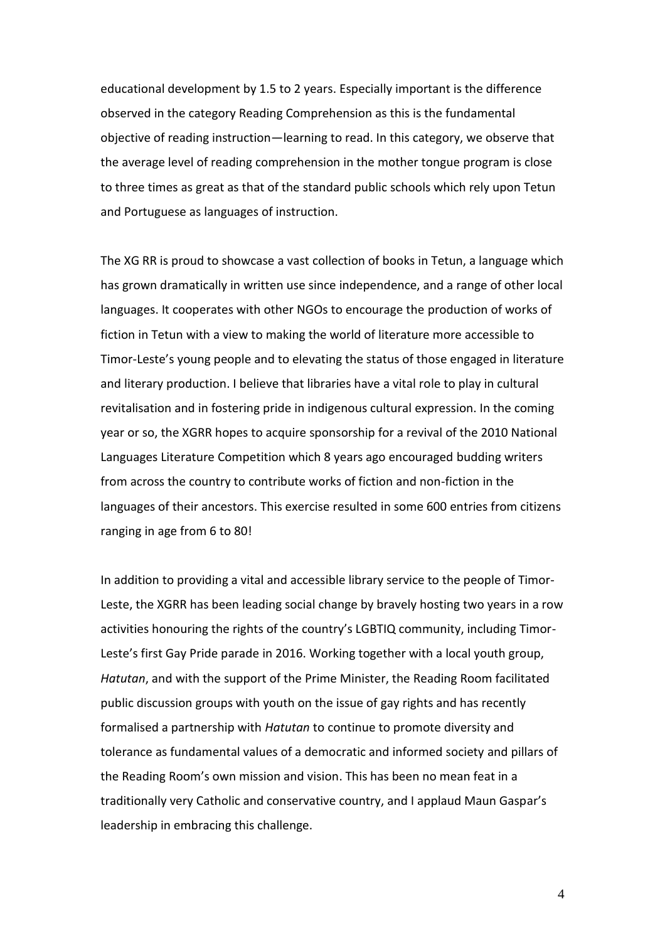educational development by 1.5 to 2 years. Especially important is the difference observed in the category Reading Comprehension as this is the fundamental objective of reading instruction—learning to read. In this category, we observe that the average level of reading comprehension in the mother tongue program is close to three times as great as that of the standard public schools which rely upon Tetun and Portuguese as languages of instruction.

The XG RR is proud to showcase a vast collection of books in Tetun, a language which has grown dramatically in written use since independence, and a range of other local languages. It cooperates with other NGOs to encourage the production of works of fiction in Tetun with a view to making the world of literature more accessible to Timor-Leste's young people and to elevating the status of those engaged in literature and literary production. I believe that libraries have a vital role to play in cultural revitalisation and in fostering pride in indigenous cultural expression. In the coming year or so, the XGRR hopes to acquire sponsorship for a revival of the 2010 National Languages Literature Competition which 8 years ago encouraged budding writers from across the country to contribute works of fiction and non-fiction in the languages of their ancestors. This exercise resulted in some 600 entries from citizens ranging in age from 6 to 80!

In addition to providing a vital and accessible library service to the people of Timor-Leste, the XGRR has been leading social change by bravely hosting two years in a row activities honouring the rights of the country's LGBTIQ community, including Timor-Leste's first Gay Pride parade in 2016. Working together with a local youth group, *Hatutan*, and with the support of the Prime Minister, the Reading Room facilitated public discussion groups with youth on the issue of gay rights and has recently formalised a partnership with *Hatutan* to continue to promote diversity and tolerance as fundamental values of a democratic and informed society and pillars of the Reading Room's own mission and vision. This has been no mean feat in a traditionally very Catholic and conservative country, and I applaud Maun Gaspar's leadership in embracing this challenge.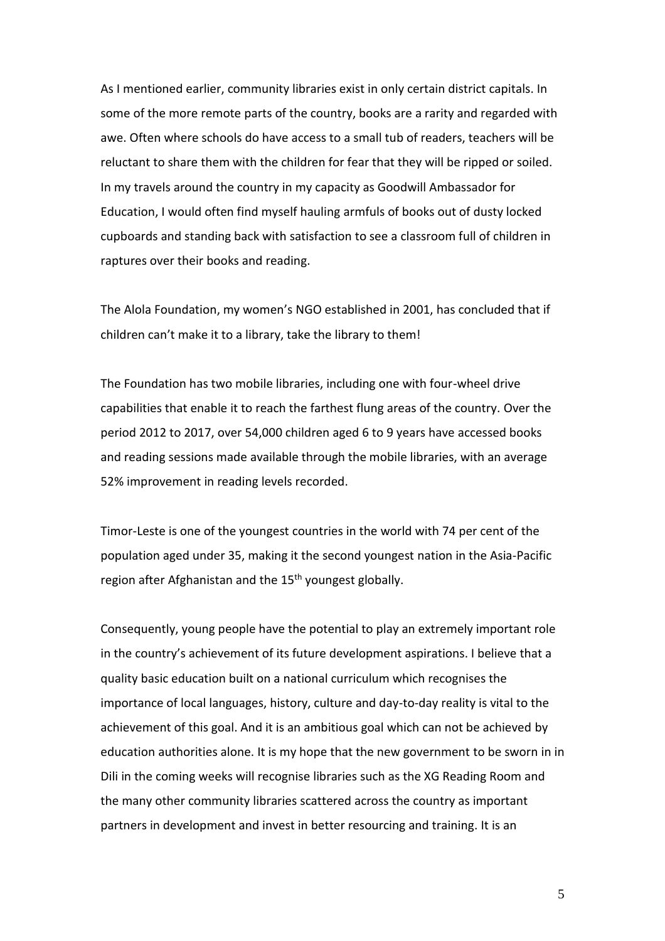As I mentioned earlier, community libraries exist in only certain district capitals. In some of the more remote parts of the country, books are a rarity and regarded with awe. Often where schools do have access to a small tub of readers, teachers will be reluctant to share them with the children for fear that they will be ripped or soiled. In my travels around the country in my capacity as Goodwill Ambassador for Education, I would often find myself hauling armfuls of books out of dusty locked cupboards and standing back with satisfaction to see a classroom full of children in raptures over their books and reading.

The Alola Foundation, my women's NGO established in 2001, has concluded that if children can't make it to a library, take the library to them!

The Foundation has two mobile libraries, including one with four-wheel drive capabilities that enable it to reach the farthest flung areas of the country. Over the period 2012 to 2017, over 54,000 children aged 6 to 9 years have accessed books and reading sessions made available through the mobile libraries, with an average 52% improvement in reading levels recorded.

Timor-Leste is one of the youngest countries in the world with 74 per cent of the population aged under 35, making it the second youngest nation in the Asia-Pacific region after Afghanistan and the 15<sup>th</sup> youngest globally.

Consequently, young people have the potential to play an extremely important role in the country's achievement of its future development aspirations. I believe that a quality basic education built on a national curriculum which recognises the importance of local languages, history, culture and day-to-day reality is vital to the achievement of this goal. And it is an ambitious goal which can not be achieved by education authorities alone. It is my hope that the new government to be sworn in in Dili in the coming weeks will recognise libraries such as the XG Reading Room and the many other community libraries scattered across the country as important partners in development and invest in better resourcing and training. It is an